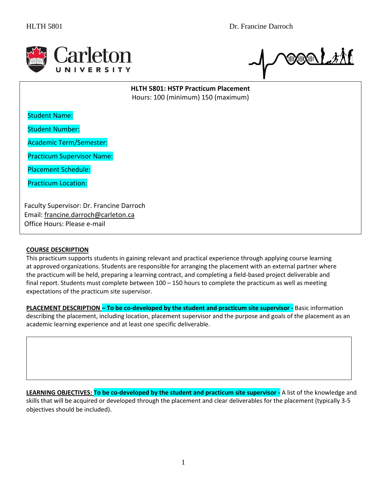

**COON LEAD** 

**HLTH 5801: HSTP Practicum Placement** Hours: 100 (minimum) 150 (maximum)

Student Name:

Student Number:

Academic Term/Semester:

Practicum Supervisor Name:

Placement Schedule:

Practicum Location:

Faculty Supervisor: Dr. Francine Darroch Email: [francine.darroch@carleton.ca](mailto:francine.darroch@carleton.ca) Office Hours: Please e-mail

### **COURSE DESCRIPTION**

This practicum supports students in gaining relevant and practical experience through applying course learning at approved organizations. Students are responsible for arranging the placement with an external partner where the practicum will be held, preparing a learning contract, and completing a field-based project deliverable and final report. Students must complete between 100 – 150 hours to complete the practicum as well as meeting expectations of the practicum site supervisor.

**PLACEMENT DESCRIPTION – To be co-developed by the student and practicum site supervisor -** Basic information describing the placement, including location, placement supervisor and the purpose and goals of the placement as an academic learning experience and at least one specific deliverable.

**LEARNING OBJECTIVES: To be co-developed by the student and practicum site supervisor -** A list of the knowledge and skills that will be acquired or developed through the placement and clear deliverables for the placement (typically 3-5 objectives should be included).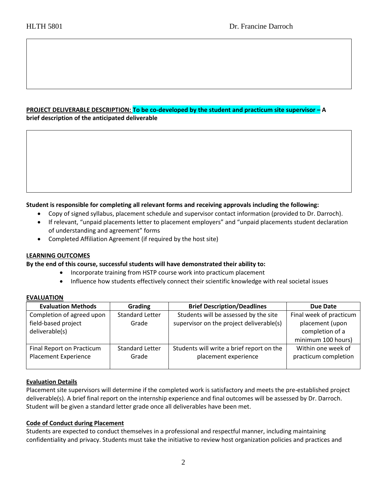# **PROJECT DELIVERABLE DESCRIPTION: To be co-developed by the student and practicum site supervisor – A brief description of the anticipated deliverable**

# **Student is responsible for completing all relevant forms and receiving approvals including the following:**

- Copy of signed syllabus, placement schedule and supervisor contact information (provided to Dr. Darroch).
- If relevant, "unpaid placements letter to placement employers" and "unpaid placements student declaration of understanding and agreement" forms
- Completed Affiliation Agreement (if required by the host site)

### **LEARNING OUTCOMES**

### **By the end of this course, successful students will have demonstrated their ability to:**

- Incorporate training from HSTP course work into practicum placement
- Influence how students effectively connect their scientific knowledge with real societal issues

### **EVALUATION**

| <b>Evaluation Methods</b>                                          | Grading                         | <b>Brief Description/Deadlines</b>                                                | Due Date                                                                            |
|--------------------------------------------------------------------|---------------------------------|-----------------------------------------------------------------------------------|-------------------------------------------------------------------------------------|
| Completion of agreed upon<br>field-based project<br>deliverable(s) | <b>Standard Letter</b><br>Grade | Students will be assessed by the site<br>supervisor on the project deliverable(s) | Final week of practicum<br>placement (upon<br>completion of a<br>minimum 100 hours) |
| Final Report on Practicum<br><b>Placement Experience</b>           | <b>Standard Letter</b><br>Grade | Students will write a brief report on the<br>placement experience                 | Within one week of<br>practicum completion                                          |

### **Evaluation Details**

Placement site supervisors will determine if the completed work is satisfactory and meets the pre-established project deliverable(s). A brief final report on the internship experience and final outcomes will be assessed by Dr. Darroch. Student will be given a standard letter grade once all deliverables have been met.

### **Code of Conduct during Placement**

Students are expected to conduct themselves in a professional and respectful manner, including maintaining confidentiality and privacy. Students must take the initiative to review host organization policies and practices and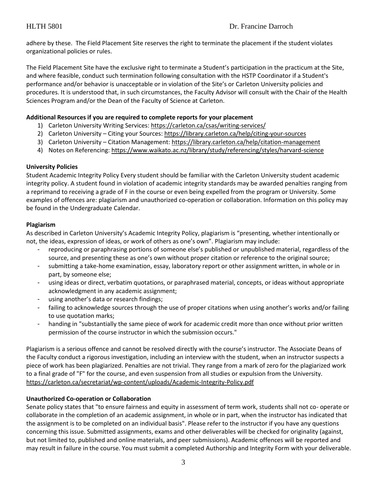adhere by these. The Field Placement Site reserves the right to terminate the placement if the student violates organizational policies or rules.

The Field Placement Site have the exclusive right to terminate a Student's participation in the practicum at the Site, and where feasible, conduct such termination following consultation with the HSTP Coordinator if a Student's performance and/or behavior is unacceptable or in violation of the Site's or Carleton University policies and procedures. It is understood that, in such circumstances, the Faculty Advisor will consult with the Chair of the Health Sciences Program and/or the Dean of the Faculty of Science at Carleton.

## **Additional Resources if you are required to complete reports for your placement**

- 1) Carleton University Writing Services[: https://carleton.ca/csas/writing-services/](https://carleton.ca/csas/writing-services/)
- 2) Carleton University Citing your Sources:<https://library.carleton.ca/help/citing-your-sources>
- 3) Carleton University Citation Management:<https://library.carleton.ca/help/citation-management>
- 4) Notes on Referencing[: https://www.waikato.ac.nz/library/study/referencing/styles/harvard-science](https://www.waikato.ac.nz/library/study/referencing/styles/harvard-science)

### **University Policies**

Student Academic Integrity Policy Every student should be familiar with the Carleton University student academic integrity policy. A student found in violation of academic integrity standards may be awarded penalties ranging from a reprimand to receiving a grade of F in the course or even being expelled from the program or University. Some examples of offences are: plagiarism and unauthorized co-operation or collaboration. Information on this policy may be found in the Undergraduate Calendar.

### **Plagiarism**

As described in Carleton University's Academic Integrity Policy, plagiarism is "presenting, whether intentionally or not, the ideas, expression of ideas, or work of others as one's own". Plagiarism may include:

- reproducing or paraphrasing portions of someone else's published or unpublished material, regardless of the source, and presenting these as one's own without proper citation or reference to the original source;
- submitting a take-home examination, essay, laboratory report or other assignment written, in whole or in part, by someone else;
- using ideas or direct, verbatim quotations, or paraphrased material, concepts, or ideas without appropriate acknowledgment in any academic assignment;
- using another's data or research findings;
- failing to acknowledge sources through the use of proper citations when using another's works and/or failing to use quotation marks;
- handing in "substantially the same piece of work for academic credit more than once without prior written permission of the course instructor in which the submission occurs."

Plagiarism is a serious offence and cannot be resolved directly with the course's instructor. The Associate Deans of the Faculty conduct a rigorous investigation, including an interview with the student, when an instructor suspects a piece of work has been plagiarized. Penalties are not trivial. They range from a mark of zero for the plagiarized work to a final grade of "F" for the course, and even suspension from all studies or expulsion from the University. <https://carleton.ca/secretariat/wp-content/uploads/Academic-Integrity-Policy.pdf>

# **Unauthorized Co-operation or Collaboration**

Senate policy states that "to ensure fairness and equity in assessment of term work, students shall not co- operate or collaborate in the completion of an academic assignment, in whole or in part, when the instructor has indicated that the assignment is to be completed on an individual basis". Please refer to the instructor if you have any questions concerning this issue. Submitted assignments, exams and other deliverables will be checked for originality (against, but not limited to, published and online materials, and peer submissions). Academic offences will be reported and may result in failure in the course. You must submit a completed Authorship and Integrity Form with your deliverable.